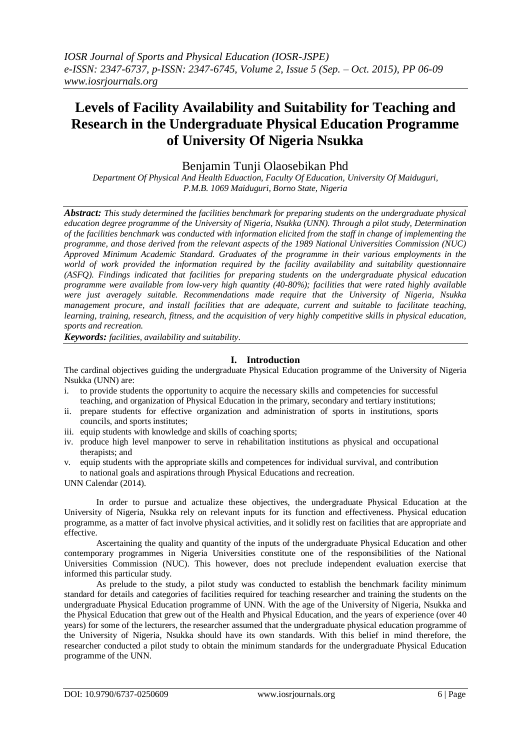# **Levels of Facility Availability and Suitability for Teaching and Research in the Undergraduate Physical Education Programme of University Of Nigeria Nsukka**

Benjamin Tunji Olaosebikan Phd

*Department Of Physical And Health Eduaction, Faculty Of Education, University Of Maiduguri, P.M.B. 1069 Maiduguri, Borno State, Nigeria*

*Abstract: This study determined the facilities benchmark for preparing students on the undergraduate physical education degree programme of the University of Nigeria, Nsukka (UNN). Through a pilot study, Determination of the facilities benchmark was conducted with information elicited from the staff in change of implementing the programme, and those derived from the relevant aspects of the 1989 National Universities Commission (NUC) Approved Minimum Academic Standard. Graduates of the programme in their various employments in the world of work provided the information required by the facility availability and suitability questionnaire (ASFQ). Findings indicated that facilities for preparing students on the undergraduate physical education programme were available from low-very high quantity (40-80%); facilities that were rated highly available were just averagely suitable. Recommendations made require that the University of Nigeria, Nsukka management procure, and install facilities that are adequate, current and suitable to facilitate teaching, learning, training, research, fitness, and the acquisition of very highly competitive skills in physical education, sports and recreation.*

*Keywords: facilities, availability and suitability*.

#### **I. Introduction**

The cardinal objectives guiding the undergraduate Physical Education programme of the University of Nigeria Nsukka (UNN) are:

- i. to provide students the opportunity to acquire the necessary skills and competencies for successful teaching, and organization of Physical Education in the primary, secondary and tertiary institutions;
- ii. prepare students for effective organization and administration of sports in institutions, sports councils, and sports institutes;
- iii. equip students with knowledge and skills of coaching sports;
- iv. produce high level manpower to serve in rehabilitation institutions as physical and occupational therapists; and
- v. equip students with the appropriate skills and competences for individual survival, and contribution to national goals and aspirations through Physical Educations and recreation.

UNN Calendar (2014).

In order to pursue and actualize these objectives, the undergraduate Physical Education at the University of Nigeria, Nsukka rely on relevant inputs for its function and effectiveness. Physical education programme, as a matter of fact involve physical activities, and it solidly rest on facilities that are appropriate and effective.

Ascertaining the quality and quantity of the inputs of the undergraduate Physical Education and other contemporary programmes in Nigeria Universities constitute one of the responsibilities of the National Universities Commission (NUC). This however, does not preclude independent evaluation exercise that informed this particular study.

As prelude to the study, a pilot study was conducted to establish the benchmark facility minimum standard for details and categories of facilities required for teaching researcher and training the students on the undergraduate Physical Education programme of UNN. With the age of the University of Nigeria, Nsukka and the Physical Education that grew out of the Health and Physical Education, and the years of experience (over 40 years) for some of the lecturers, the researcher assumed that the undergraduate physical education programme of the University of Nigeria, Nsukka should have its own standards. With this belief in mind therefore, the researcher conducted a pilot study to obtain the minimum standards for the undergraduate Physical Education programme of the UNN.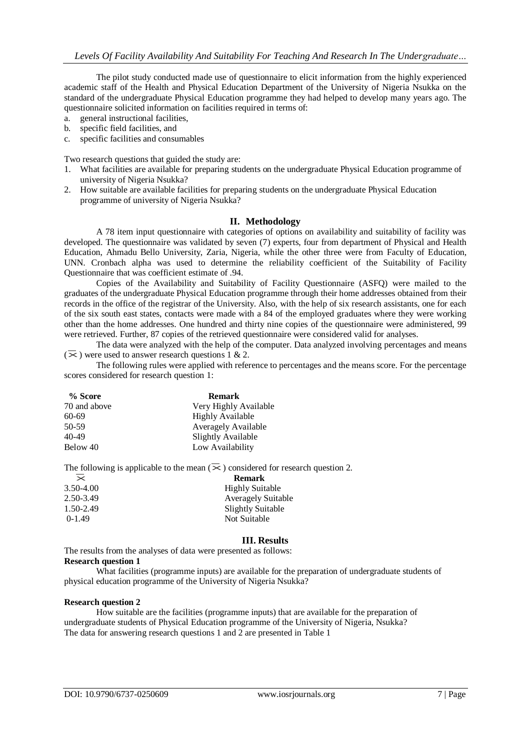The pilot study conducted made use of questionnaire to elicit information from the highly experienced academic staff of the Health and Physical Education Department of the University of Nigeria Nsukka on the standard of the undergraduate Physical Education programme they had helped to develop many years ago. The questionnaire solicited information on facilities required in terms of:

- a. general instructional facilities,
- b. specific field facilities, and
- c. specific facilities and consumables

Two research questions that guided the study are:

- 1. What facilities are available for preparing students on the undergraduate Physical Education programme of university of Nigeria Nsukka?
- 2. How suitable are available facilities for preparing students on the undergraduate Physical Education programme of university of Nigeria Nsukka?

#### **II. Methodology**

A 78 item input questionnaire with categories of options on availability and suitability of facility was developed. The questionnaire was validated by seven (7) experts, four from department of Physical and Health Education, Ahmadu Bello University, Zaria, Nigeria, while the other three were from Faculty of Education, UNN. Cronbach alpha was used to determine the reliability coefficient of the Suitability of Facility Questionnaire that was coefficient estimate of .94.

Copies of the Availability and Suitability of Facility Questionnaire (ASFQ) were mailed to the graduates of the undergraduate Physical Education programme through their home addresses obtained from their records in the office of the registrar of the University. Also, with the help of six research assistants, one for each of the six south east states, contacts were made with a 84 of the employed graduates where they were working other than the home addresses. One hundred and thirty nine copies of the questionnaire were administered, 99 were retrieved. Further, 87 copies of the retrieved questionnaire were considered valid for analyses.

The data were analyzed with the help of the computer. Data analyzed involving percentages and means  $(\overline{\times})$  were used to answer research questions 1 & 2.

The following rules were applied with reference to percentages and the means score. For the percentage scores considered for research question 1:

| % Score      | <b>Remark</b>              |
|--------------|----------------------------|
| 70 and above | Very Highly Available      |
| $60-69$      | <b>Highly Available</b>    |
| 50-59        | <b>Averagely Available</b> |
| 40-49        | Slightly Available         |
| Below 40     | Low Availability           |

The following is applicable to the mean  $(\bar{\times})$  considered for research question 2.<br>**Remark** 

| <b>Remark</b>             |  |  |
|---------------------------|--|--|
| <b>Highly Suitable</b>    |  |  |
| <b>Averagely Suitable</b> |  |  |
| Slightly Suitable         |  |  |
| Not Suitable              |  |  |
|                           |  |  |

### **III. Results**

The results from the analyses of data were presented as follows: **Research question 1**

What facilities (programme inputs) are available for the preparation of undergraduate students of physical education programme of the University of Nigeria Nsukka?

#### **Research question 2**

How suitable are the facilities (programme inputs) that are available for the preparation of undergraduate students of Physical Education programme of the University of Nigeria, Nsukka? The data for answering research questions 1 and 2 are presented in Table 1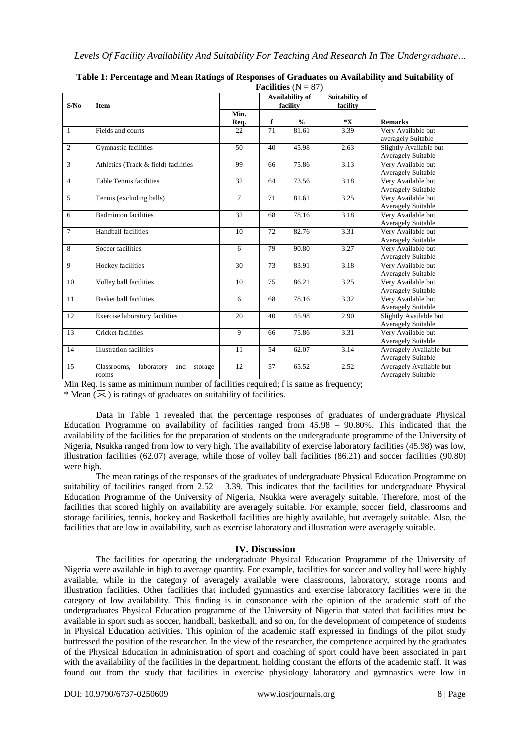| <b>Facilities</b> $(N = 87)$ |                                                      |                |                                  |       |                            |                                                      |  |  |  |
|------------------------------|------------------------------------------------------|----------------|----------------------------------|-------|----------------------------|------------------------------------------------------|--|--|--|
| S/No                         | <b>Item</b>                                          |                | Availability of<br>facility      |       | Suitability of<br>facility | <b>Remarks</b>                                       |  |  |  |
|                              |                                                      | Min.<br>Req.   | $*{\bf x}$<br>f<br>$\frac{6}{6}$ |       |                            |                                                      |  |  |  |
| $\mathbf{1}$                 | Fields and courts                                    | 22             | 71                               | 81.61 | 3.39                       | Very Available but<br>averagely Suitable             |  |  |  |
| $\overline{c}$               | Gymnastic facilities                                 | 50             | 40                               | 45.98 | 2.63                       | Slightly Available but<br><b>Averagely Suitable</b>  |  |  |  |
| 3                            | Athletics (Track & field) facilities                 | 99             | 66                               | 75.86 | 3.13                       | Very Available but<br><b>Averagely Suitable</b>      |  |  |  |
| $\overline{4}$               | <b>Table Tennis facilities</b>                       | 32             | 64                               | 73.56 | 3.18                       | Very Available but<br><b>Averagely Suitable</b>      |  |  |  |
| $\overline{5}$               | Tennis (excluding balls)                             | $\overline{7}$ | 71                               | 81.61 | 3.25                       | Very Available but<br>Averagely Suitable             |  |  |  |
| 6                            | <b>Badminton facilities</b>                          | 32             | 68                               | 78.16 | 3.18                       | Very Available but<br><b>Averagely Suitable</b>      |  |  |  |
| $\overline{7}$               | <b>Handball facilities</b>                           | 10             | 72                               | 82.76 | 3.31                       | Very Available but<br><b>Averagely Suitable</b>      |  |  |  |
| 8                            | Soccer facilities                                    | 6              | 79                               | 90.80 | 3.27                       | Very Available but<br><b>Averagely Suitable</b>      |  |  |  |
| 9                            | Hockey facilities                                    | 30             | 73                               | 83.91 | 3.18                       | Very Available but<br><b>Averagely Suitable</b>      |  |  |  |
| 10                           | Volley ball facilities                               | 10             | 75                               | 86.21 | 3.25                       | Very Available but<br><b>Averagely Suitable</b>      |  |  |  |
| 11                           | <b>Basket ball facilities</b>                        | 6              | 68                               | 78.16 | 3.32                       | Very Available but<br><b>Averagely Suitable</b>      |  |  |  |
| 12                           | Exercise laboratory facilities                       | 20             | 40                               | 45.98 | 2.90                       | Slightly Available but<br><b>Averagely Suitable</b>  |  |  |  |
| 13                           | Cricket facilities                                   | 9              | 66                               | 75.86 | 3.31                       | Very Available but<br><b>Averagely Suitable</b>      |  |  |  |
| 14                           | <b>Illustration</b> facilities                       | 11             | 54                               | 62.07 | 3.14                       | Averagely Available but<br>Averagely Suitable        |  |  |  |
| 15                           | Classrooms,<br>laboratory<br>and<br>storage<br>rooms | 12             | 57                               | 65.52 | 2.52                       | Averagely Available but<br><b>Averagely Suitable</b> |  |  |  |

| Table 1: Percentage and Mean Ratings of Responses of Graduates on Availability and Suitability of |  |
|---------------------------------------------------------------------------------------------------|--|
| $E = 21242 - A1 - 070$                                                                            |  |

Min Req. is same as minimum number of facilities required; f is same as frequency;

Will Neq. is same as infinitum number of facilities.<br>
\* Mean  $(\overline{\times})$  is ratings of graduates on suitability of facilities.

Data in Table 1 revealed that the percentage responses of graduates of undergraduate Physical Education Programme on availability of facilities ranged from  $45.98 - 90.80\%$ . This indicated that the availability of the facilities for the preparation of students on the undergraduate programme of the University of Nigeria, Nsukka ranged from low to very high. The availability of exercise laboratory facilities (45.98) was low, illustration facilities (62.07) average, while those of volley ball facilities (86.21) and soccer facilities (90.80) were high.

The mean ratings of the responses of the graduates of undergraduate Physical Education Programme on suitability of facilities ranged from  $2.52 - 3.39$ . This indicates that the facilities for undergraduate Physical Education Programme of the University of Nigeria, Nsukka were averagely suitable. Therefore, most of the facilities that scored highly on availability are averagely suitable. For example, soccer field, classrooms and storage facilities, tennis, hockey and Basketball facilities are highly available, but averagely suitable. Also, the facilities that are low in availability, such as exercise laboratory and illustration were averagely suitable.

# **IV. Discussion**

The facilities for operating the undergraduate Physical Education Programme of the University of Nigeria were available in high to average quantity. For example, facilities for soccer and volley ball were highly available, while in the category of averagely available were classrooms, laboratory, storage rooms and illustration facilities. Other facilities that included gymnastics and exercise laboratory facilities were in the category of low availability. This finding is in consonance with the opinion of the academic staff of the undergraduates Physical Education programme of the University of Nigeria that stated that facilities must be available in sport such as soccer, handball, basketball, and so on, for the development of competence of students in Physical Education activities. This opinion of the academic staff expressed in findings of the pilot study buttressed the position of the researcher. In the view of the researcher, the competence acquired by the graduates of the Physical Education in administration of sport and coaching of sport could have been associated in part with the availability of the facilities in the department, holding constant the efforts of the academic staff. It was found out from the study that facilities in exercise physiology laboratory and gymnastics were low in